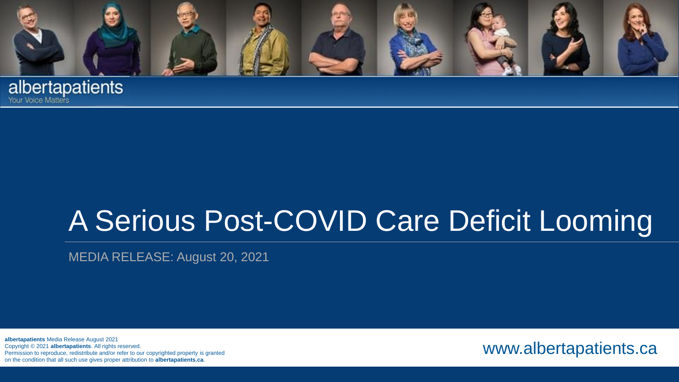

**albertapatients** 

# A Serious Post-COVID Care Deficit Looming

MEDIA RELEASE: August 20, 2021

**albertapatients** Media Release August 2021 Copyright © 2021 **albertapatients**. All rights reserved. Permission to reproduce, redistribute and/or refer to our copyrighted property is granted on the condition that all such use gives proper attribution to **albertapatients.ca**.

www.albertapatients.ca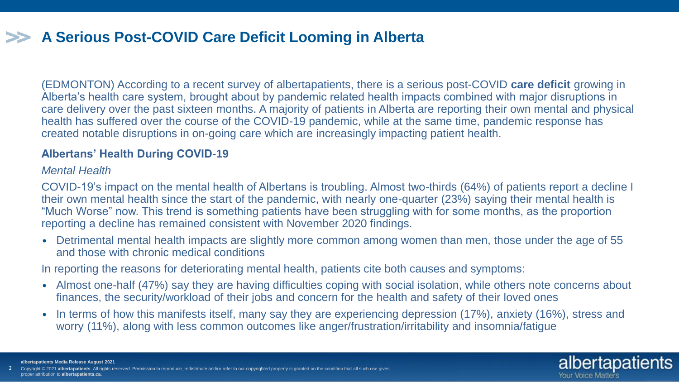# **A Serious Post-COVID Care Deficit Looming in Alberta**

(EDMONTON) According to a recent survey of albertapatients, there is a serious post-COVID **care deficit** growing in Alberta's health care system, brought about by pandemic related health impacts combined with major disruptions in care delivery over the past sixteen months. A majority of patients in Alberta are reporting their own mental and physical health has suffered over the course of the COVID-19 pandemic, while at the same time, pandemic response has created notable disruptions in on-going care which are increasingly impacting patient health.

### **Albertans' Health During COVID-19**

### *Mental Health*

COVID-19's impact on the mental health of Albertans is troubling. Almost two-thirds (64%) of patients report a decline I their own mental health since the start of the pandemic, with nearly one-quarter (23%) saying their mental health is "Much Worse" now. This trend is something patients have been struggling with for some months, as the proportion reporting a decline has remained consistent with November 2020 findings.

• Detrimental mental health impacts are slightly more common among women than men, those under the age of 55 and those with chronic medical conditions

In reporting the reasons for deteriorating mental health, patients cite both causes and symptoms:

- Almost one-half (47%) say they are having difficulties coping with social isolation, while others note concerns about finances, the security/workload of their jobs and concern for the health and safety of their loved ones
- In terms of how this manifests itself, many say they are experiencing depression (17%), anxiety (16%), stress and worry (11%), along with less common outcomes like anger/frustration/irritability and insomnia/fatigue

Your Voice Matters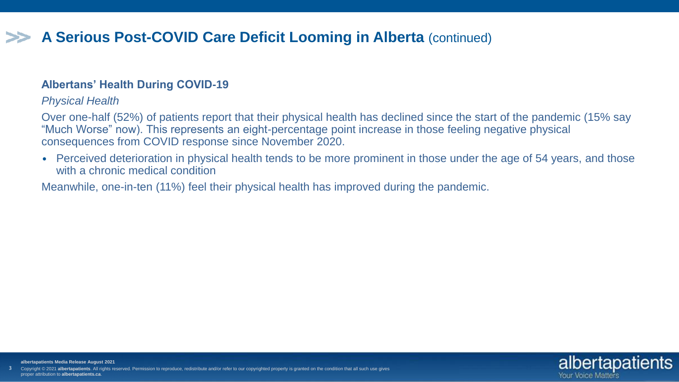# **A Serious Post-COVID Care Deficit Looming in Alberta** (continued)

### **Albertans' Health During COVID-19**

### *Physical Health*

Over one-half (52%) of patients report that their physical health has declined since the start of the pandemic (15% say "Much Worse" now). This represents an eight-percentage point increase in those feeling negative physical consequences from COVID response since November 2020.

• Perceived deterioration in physical health tends to be more prominent in those under the age of 54 years, and those with a chronic medical condition

Meanwhile, one-in-ten (11%) feel their physical health has improved during the pandemic.



3 **albertapatients Media Release August 2021** right © 2021 albertapatients. All rights reserved. Permission to reproduce, redistribute and/or refer to our copyrighted property is granted on the condition that all such use gives proper attribution to **albertapatients.ca**.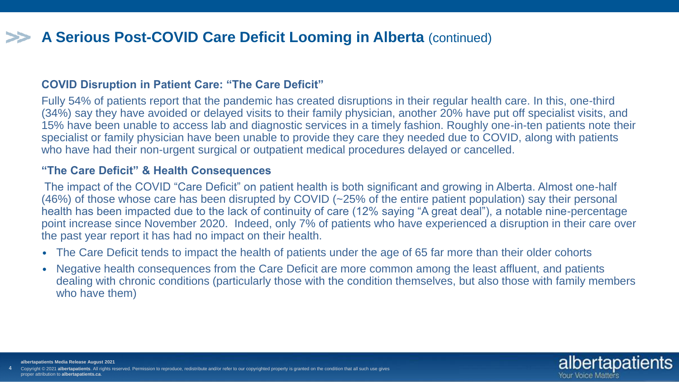# **A Serious Post-COVID Care Deficit Looming in Alberta** (continued)

#### **COVID Disruption in Patient Care: "The Care Deficit"**

Fully 54% of patients report that the pandemic has created disruptions in their regular health care. In this, one-third (34%) say they have avoided or delayed visits to their family physician, another 20% have put off specialist visits, and 15% have been unable to access lab and diagnostic services in a timely fashion. Roughly one-in-ten patients note their specialist or family physician have been unable to provide they care they needed due to COVID, along with patients who have had their non-urgent surgical or outpatient medical procedures delayed or cancelled.

#### **"The Care Deficit" & Health Consequences**

4

The impact of the COVID "Care Deficit" on patient health is both significant and growing in Alberta. Almost one-half (46%) of those whose care has been disrupted by COVID (~25% of the entire patient population) say their personal health has been impacted due to the lack of continuity of care (12% saying "A great deal"), a notable nine-percentage point increase since November 2020. Indeed, only 7% of patients who have experienced a disruption in their care over the past year report it has had no impact on their health.

- The Care Deficit tends to impact the health of patients under the age of 65 far more than their older cohorts
- Negative health consequences from the Care Deficit are more common among the least affluent, and patients dealing with chronic conditions (particularly those with the condition themselves, but also those with family members who have them)



**albertapatients Media Release August 2021** ght © 2021 **albertapatients**. All rights reserved. Permission to reproduce, redistribute and/or refer to our copyrighted property is granted on the condition that all such use gives proper attribution to **albertapatients.ca**.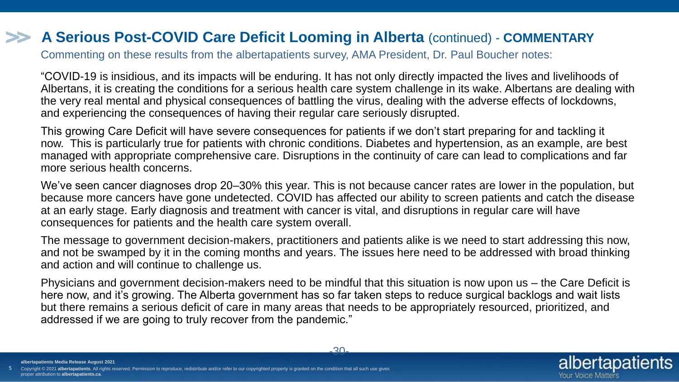# **A Serious Post-COVID Care Deficit Looming in Alberta** (continued) - **COMMENTARY**

Commenting on these results from the albertapatients survey, AMA President, Dr. Paul Boucher notes:

"COVID-19 is insidious, and its impacts will be enduring. It has not only directly impacted the lives and livelihoods of Albertans, it is creating the conditions for a serious health care system challenge in its wake. Albertans are dealing with the very real mental and physical consequences of battling the virus, dealing with the adverse effects of lockdowns, and experiencing the consequences of having their regular care seriously disrupted.

This growing Care Deficit will have severe consequences for patients if we don't start preparing for and tackling it now. This is particularly true for patients with chronic conditions. Diabetes and hypertension, as an example, are best managed with appropriate comprehensive care. Disruptions in the continuity of care can lead to complications and far more serious health concerns.

We've seen cancer diagnoses drop 20–30% this year. This is not because cancer rates are lower in the population, but because more cancers have gone undetected. COVID has affected our ability to screen patients and catch the disease at an early stage. Early diagnosis and treatment with cancer is vital, and disruptions in regular care will have consequences for patients and the health care system overall.

The message to government decision-makers, practitioners and patients alike is we need to start addressing this now, and not be swamped by it in the coming months and years. The issues here need to be addressed with broad thinking and action and will continue to challenge us.

Physicians and government decision-makers need to be mindful that this situation is now upon us – the Care Deficit is here now, and it's growing. The Alberta government has so far taken steps to reduce surgical backlogs and wait lists but there remains a serious deficit of care in many areas that needs to be appropriately resourced, prioritized, and addressed if we are going to truly recover from the pandemic."

Your Voice Matters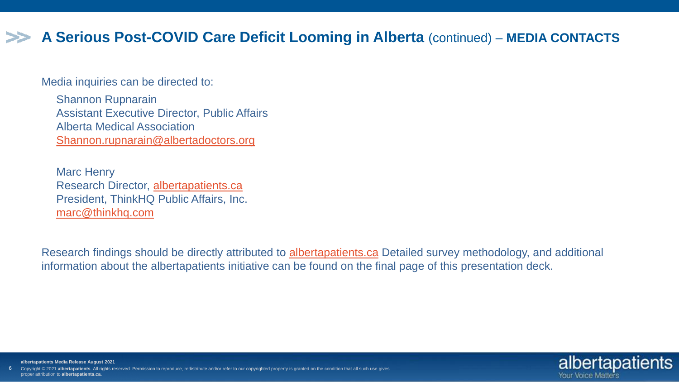# **A Serious Post-COVID Care Deficit Looming in Alberta** (continued) – **MEDIA CONTACTS**

Media inquiries can be directed to:

6

Shannon Rupnarain Assistant Executive Director, Public Affairs Alberta Medical Association [Shannon.rupnarain@albertadoctors.org](mailto:Shannon.rupnarain@albertadoctors.org)

Marc Henry Research Director, [albertapatients.ca](https://www.albertapatients.ca/hub/) President, ThinkHQ Public Affairs, Inc. [marc@thinkhq.com](mailto:marc@thinkhq.com)

Research findings should be directly attributed to [albertapatients.ca](https://www.albertapatients.ca/hub/) Detailed survey methodology, and additional information about the albertapatients initiative can be found on the final page of this presentation deck.



**albertapatients Media Release August 2021** ht © 2021 albertapatients. All rights reserved. Permission to reproduce, redistribute and/or refer to our copyrighted property is granted on the condition that all such use gives proper attribution to **albertapatients.ca**.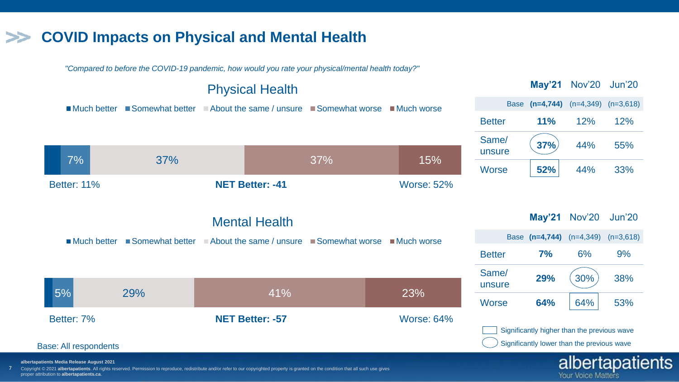# **COVID Impacts on Physical and Mental Health**

*"Compared to before the COVID-19 pandemic, how would you rate your physical/mental health today?"*



**Your Voice Matters** 

Copyright © 2021 **albertapatients**. All rights reserved. Permission to reproduce, redistribute and/or refer to our copyrighted property is granted on the condition that all such use gives proper attribution to **albertapatients.ca**.

7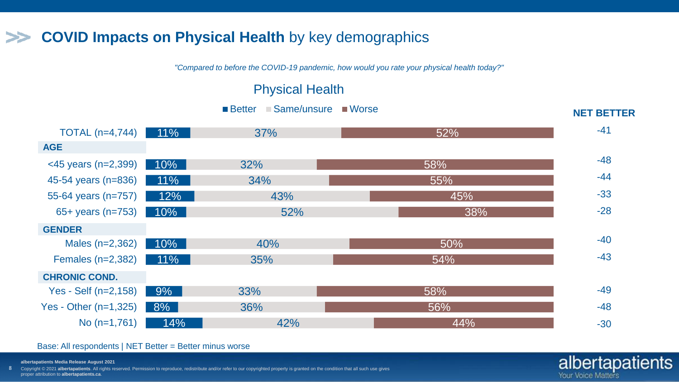#### **COVID Impacts on Physical Health** by key demographics >>

*"Compared to before the COVID-19 pandemic, how would you rate your physical health today?"*

### Physical Health

Better Same/unsure Worse

| TOTAL $(n=4,744)$             | $11\%$ | 37% | 52% | $-41$ |
|-------------------------------|--------|-----|-----|-------|
| <b>AGE</b>                    |        |     |     |       |
| $\leq$ 45 years (n=2,399) 10% |        | 32% | 58% | $-48$ |
| 45-54 years (n=836)           | $11\%$ | 34% | 55% | $-44$ |
| 55-64 years (n=757)           | 12%    | 43% | 45% | $-33$ |
| 65+ years (n=753) $10\%$      | 52%    |     | 38% | $-28$ |
| <b>GENDER</b>                 |        |     |     |       |
| Males $(n=2,362)$             | $10\%$ | 40% | 50% | $-40$ |
| Females $(n=2,382)$           | $11\%$ | 35% | 54% | $-43$ |
| <b>CHRONIC COND.</b>          |        |     |     |       |
| Yes - Self $(n=2, 158)$       | $9\%$  | 33% | 58% | $-49$ |
| Yes - Other $(n=1,325)$       | 8%     | 36% | 56% | $-48$ |
| No $(n=1,761)$                | 14%    | 42% | 44% | $-30$ |

#### Base: All respondents | NET Better = Better minus worse

**albertapatients Media Release August 2021**

8 Copyright © 2021 albertapatients. All rights reserved. Permission to reproduce, redistribute and/or refer to our copyrighted property is granted on the condition that all such use gives, proper attribution to **albertapatients.ca**.

### albertapatients Your Voice Matters

**NET BETTER**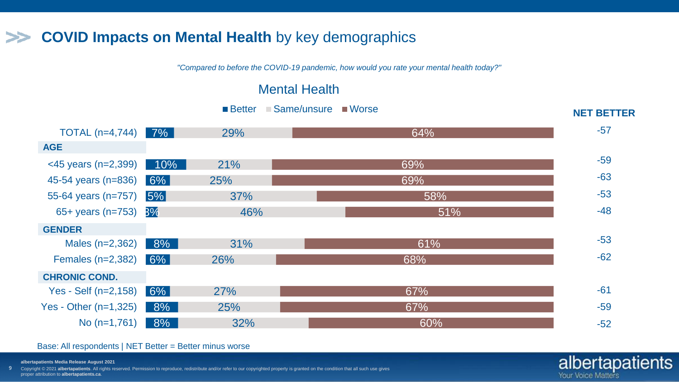# **COVID Impacts on Mental Health** by key demographics

*"Compared to before the COVID-19 pandemic, how would you rate your mental health today?"*

### Mental Health



albertapatients

Your Voice Matters

#### Base: All respondents | NET Better = Better minus worse

**albertapatients Media Release August 2021**

9 Copyright © 2021 **albertapatients**. All rights reserved. Permission to reproduce, redistribute and/or refer to our copyrighted property is granted on the condition that all such use gives proper attribution to **albertapatients.ca**.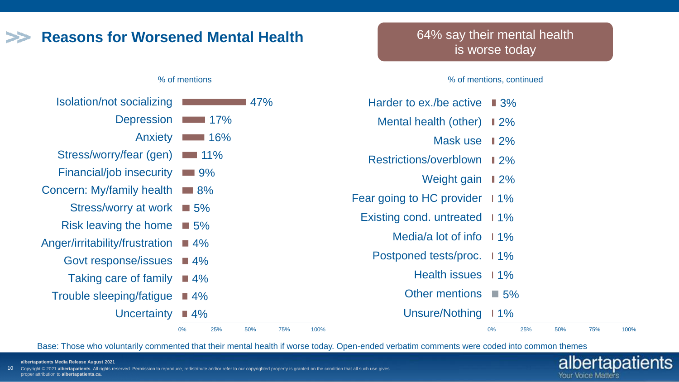# **Reasons for Worsened Mental Health**

#### % of mentions

| Isolation/not socializing       |                    |
|---------------------------------|--------------------|
| <b>Depression</b>               | $-17\%$            |
| Anxiety                         | $\blacksquare$ 16% |
| Stress/worry/fear (gen)         | $\Box$ 11%         |
| <b>Financial/job insecurity</b> | $\Box$ 9%          |
| Concern: My/family health       | 8%                 |
| <b>Stress/worry at work</b>     | $\Box$ 5%          |
| Risk leaving the home           | $\Box$ 5%          |
| Anger/irritability/frustration  | $\Box$ 4%          |
| Govt response/issues            | $\blacksquare$ 4%  |
| Taking care of family           | $\blacksquare$ 4%  |
| Trouble sleeping/fatigue        | $\blacksquare$ 4%  |
| Uncertainty                     | 4%                 |
|                                 |                    |

### 64% say their mental health is worse today

#### % of mentions, continued

| 47%                                    |      | Harder to ex./be active $\blacksquare$ 3% |                   |     |     |     |      |
|----------------------------------------|------|-------------------------------------------|-------------------|-----|-----|-----|------|
| 17%                                    |      | Mental health (other) 12%                 |                   |     |     |     |      |
| $\blacksquare$ 16%                     |      | Mask use                                  | $\blacksquare$ 2% |     |     |     |      |
| $\blacksquare$ 11%                     |      | Restrictions/overblown 12%                |                   |     |     |     |      |
| $\blacksquare$ 9%                      |      | Weight gain $\blacksquare$ 2%             |                   |     |     |     |      |
| $\blacksquare$ 8%                      |      | Fear going to HC provider $11\%$          |                   |     |     |     |      |
| $\Box$ 5%                              |      | Existing cond. untreated 11%              |                   |     |     |     |      |
| $\blacksquare$ 5%<br>$\blacksquare$ 4% |      | Media/a lot of info $11\%$                |                   |     |     |     |      |
| $\blacksquare$ 4%                      |      | Postponed tests/proc. 11%                 |                   |     |     |     |      |
| $\blacksquare$ 4%                      |      | Health issues 11%                         |                   |     |     |     |      |
| $\blacksquare$ 4%                      |      | Other mentions $\blacksquare$ 5%          |                   |     |     |     |      |
| $\blacksquare$ 4%                      |      | Unsure/Nothing 11%                        |                   |     |     |     |      |
| 0%<br>25%<br>50%<br>75%                | 100% |                                           | 0%                | 25% | 50% | 75% | 100% |

albertapatients

Your Voice Matters

Base: Those who voluntarily commented that their mental health if worse today. Open-ended verbatim comments were coded into common themes

**albertapatients Media Release August 2021**

10 Copyright © 2021 albertapatients. All rights reserved. Permission to reproduce, redistribute and/or refer to our copyrighted property is granted on the condition that all such use gives proper attribution to **albertapatients.ca**.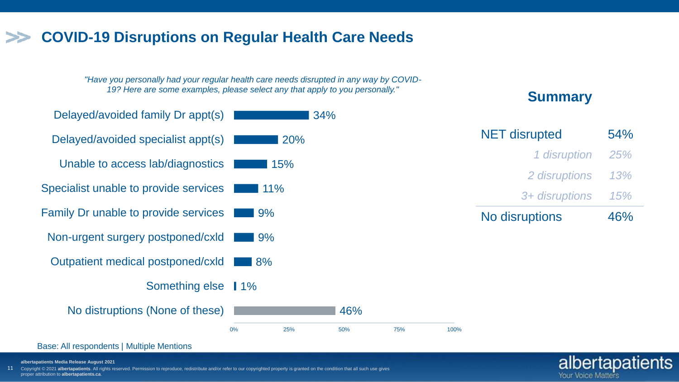# **COVID-19 Disruptions on Regular Health Care Needs**

*"Have you personally had your regular health care needs disrupted in any way by COVID-19? Here are some examples, please select any that apply to you personally."* **Summary Summary** 



#### Base: All respondents | Multiple Mentions

**albertapatients Media Release August 2021**

11 yright © 2021 albertapatients. All rights reserved. Permission to reproduce, redistribute and/or refer to our copyrighted property is granted on the condition that all such use gives proper attribution to **albertapatients.ca**.

albertapatients

Your Voice Matters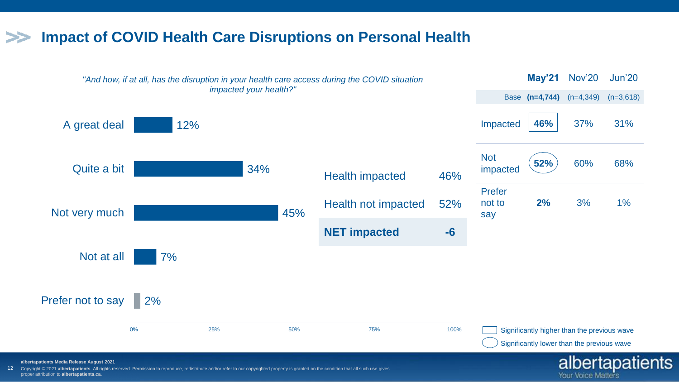## **Impact of COVID Health Care Disruptions on Personal Health**



Your Voice Matters

**albertapatients Media Release August 2021**

12 Copyright © 2021 **albertapatients**. All rights reserved. Permission to reproduce, redistribute and/or refer to our copyrighted property is granted on the condition that all such use gives proper attribution to **albertapatients.ca**.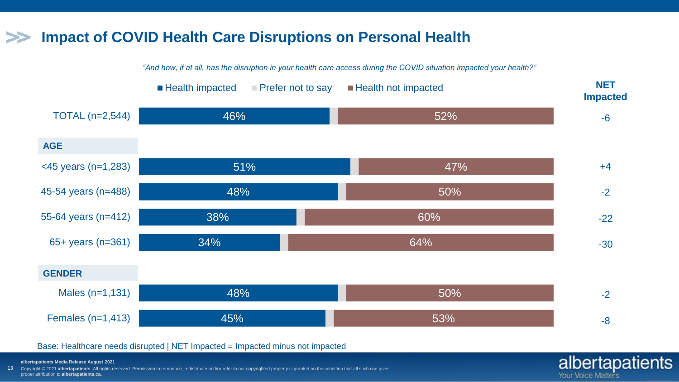# **Impact of COVID Health Care Disruptions on Personal Health**

*"And how, if at all, has the disruption in your health care access during the COVID situation impacted your health?"*



albertapatients

Your Voice Matters

#### Base: Healthcare needs disrupted | NET Impacted = Impacted minus not impacted

**albertapatients Media Release August 2021**

13 Copyright © 2021 albertapatients. All rights reserved. Permission to reproduce, redistribute and/or refer to our copyrighted property is granted on the condition that all such use gives proper attribution to **albertapatients.ca**.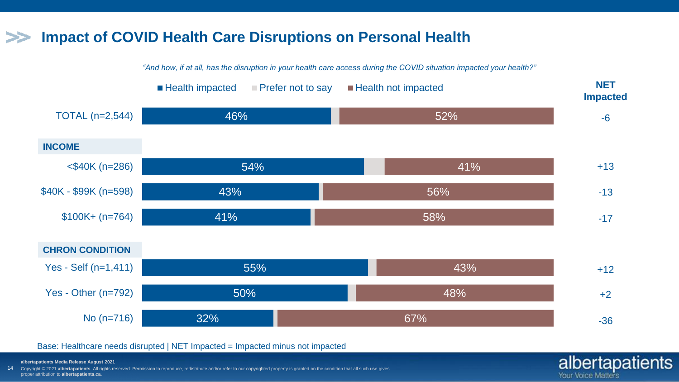# **Impact of COVID Health Care Disruptions on Personal Health**

*"And how, if at all, has the disruption in your health care access during the COVID situation impacted your health?"*



albertapatients

Your Voice Matters

#### Base: Healthcare needs disrupted | NET Impacted = Impacted minus not impacted

**albertapatients Media Release August 2021**

14 Copyright © 2021 albertapatients. All rights reserved. Permission to reproduce, redistribute and/or refer to our copyrighted property is granted on the condition that all such use gives, proper attribution to **albertapatients.ca**.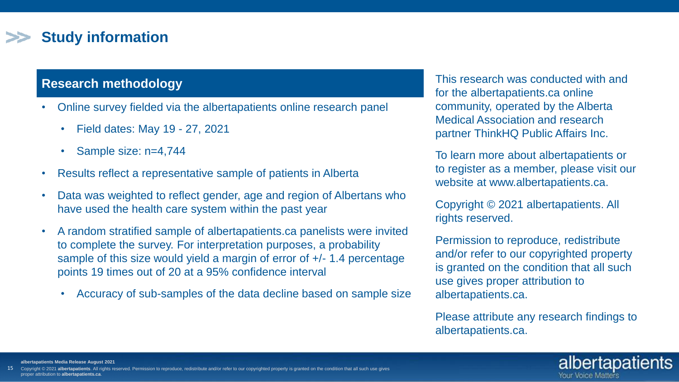# **Study information**

### **Research methodology**

- Online survey fielded via the albertapatients online research panel
	- Field dates: May 19 27, 2021
	- Sample size: n=4,744
- Results reflect a representative sample of patients in Alberta
- Data was weighted to reflect gender, age and region of Albertans who have used the health care system within the past year
- A random stratified sample of albertapatients.ca panelists were invited to complete the survey. For interpretation purposes, a probability sample of this size would yield a margin of error of +/- 1.4 percentage points 19 times out of 20 at a 95% confidence interval
	- Accuracy of sub-samples of the data decline based on sample size

This research was conducted with and for the albertapatients.ca online community, operated by the Alberta Medical Association and research partner ThinkHQ Public Affairs Inc.

To learn more about albertapatients or to register as a member, please visit our website at www.albertapatients.ca.

Copyright © 2021 albertapatients. All rights reserved.

Permission to reproduce, redistribute and/or refer to our copyrighted property is granted on the condition that all such use gives proper attribution to albertapatients.ca.

Please attribute any research findings to albertapatients.ca.



**albertapatients Media Release August 2021**

15 2021 albertapatients. All rights reserved. Permission to reproduce, redistribute and/or refer to our copyrighted property is granted on the condition that all such use gives proper attribution to **albertapatients.ca**.